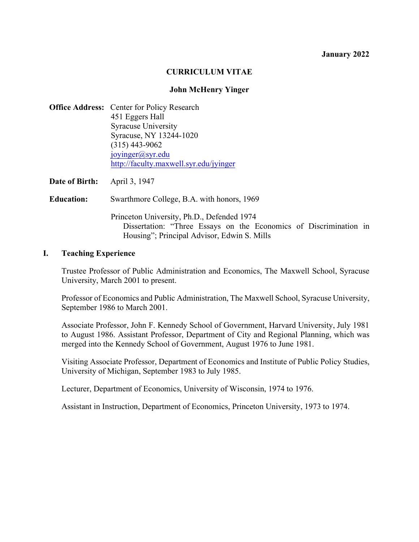#### **January 2022**

#### **CURRICULUM VITAE**

#### **John McHenry Yinger**

|                   | <b>Office Address:</b> Center for Policy Research<br>451 Eggers Hall<br><b>Syracuse University</b><br>Syracuse, NY 13244-1020<br>$(315)$ 443-9062<br>joyinger@syr.edu<br>http://faculty.maxwell.syr.edu/jyinger |
|-------------------|-----------------------------------------------------------------------------------------------------------------------------------------------------------------------------------------------------------------|
| Date of Birth:    | April 3, 1947                                                                                                                                                                                                   |
| <b>Education:</b> | Swarthmore College, B.A. with honors, 1969                                                                                                                                                                      |
|                   | Princeton University, Ph.D., Defended 1974<br>Dissertation: "Three Essays on the Economics of Discrimination in                                                                                                 |

Housing"; Principal Advisor, Edwin S. Mills

#### **I. Teaching Experience**

Trustee Professor of Public Administration and Economics, The Maxwell School, Syracuse University, March 2001 to present.

Professor of Economics and Public Administration, The Maxwell School, Syracuse University, September 1986 to March 2001.

Associate Professor, John F. Kennedy School of Government, Harvard University, July 1981 to August 1986. Assistant Professor, Department of City and Regional Planning, which was merged into the Kennedy School of Government, August 1976 to June 1981.

Visiting Associate Professor, Department of Economics and Institute of Public Policy Studies, University of Michigan, September 1983 to July 1985.

Lecturer, Department of Economics, University of Wisconsin, 1974 to 1976.

Assistant in Instruction, Department of Economics, Princeton University, 1973 to 1974.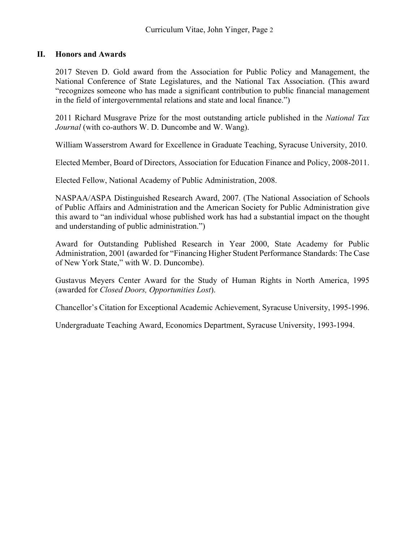# **II. Honors and Awards**

2017 Steven D. Gold award from the Association for Public Policy and Management, the National Conference of State Legislatures, and the National Tax Association. (This award "recognizes someone who has made a significant contribution to public financial management in the field of intergovernmental relations and state and local finance.")

2011 Richard Musgrave Prize for the most outstanding article published in the *National Tax Journal* (with co-authors W. D. Duncombe and W. Wang).

William Wasserstrom Award for Excellence in Graduate Teaching, Syracuse University, 2010.

Elected Member, Board of Directors, Association for Education Finance and Policy, 2008-2011.

Elected Fellow, National Academy of Public Administration, 2008.

NASPAA/ASPA Distinguished Research Award, 2007. (The National Association of Schools of Public Affairs and Administration and the American Society for Public Administration give this award to "an individual whose published work has had a substantial impact on the thought and understanding of public administration.")

Award for Outstanding Published Research in Year 2000, State Academy for Public Administration, 2001 (awarded for "Financing Higher Student Performance Standards: The Case of New York State," with W. D. Duncombe).

Gustavus Meyers Center Award for the Study of Human Rights in North America, 1995 (awarded for *Closed Doors, Opportunities Lost*).

Chancellor's Citation for Exceptional Academic Achievement, Syracuse University, 1995-1996.

Undergraduate Teaching Award, Economics Department, Syracuse University, 1993-1994.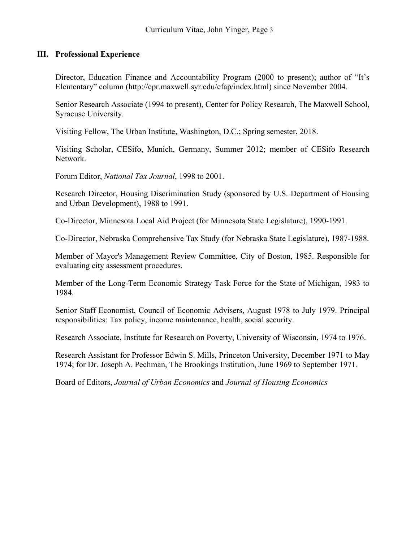# **III. Professional Experience**

Director, Education Finance and Accountability Program (2000 to present); author of "It's Elementary" column (http://cpr.maxwell.syr.edu/efap/index.html) since November 2004.

Senior Research Associate (1994 to present), Center for Policy Research, The Maxwell School, Syracuse University.

Visiting Fellow, The Urban Institute, Washington, D.C.; Spring semester, 2018.

Visiting Scholar, CESifo, Munich, Germany, Summer 2012; member of CESifo Research Network.

Forum Editor, *National Tax Journal*, 1998 to 2001.

Research Director, Housing Discrimination Study (sponsored by U.S. Department of Housing and Urban Development), 1988 to 1991.

Co-Director, Minnesota Local Aid Project (for Minnesota State Legislature), 1990-1991.

Co-Director, Nebraska Comprehensive Tax Study (for Nebraska State Legislature), 1987-1988.

Member of Mayor's Management Review Committee, City of Boston, 1985. Responsible for evaluating city assessment procedures.

Member of the Long-Term Economic Strategy Task Force for the State of Michigan, 1983 to 1984.

Senior Staff Economist, Council of Economic Advisers, August 1978 to July 1979. Principal responsibilities: Tax policy, income maintenance, health, social security.

Research Associate, Institute for Research on Poverty, University of Wisconsin, 1974 to 1976.

Research Assistant for Professor Edwin S. Mills, Princeton University, December 1971 to May 1974; for Dr. Joseph A. Pechman, The Brookings Institution, June 1969 to September 1971.

Board of Editors, *Journal of Urban Economics* and *Journal of Housing Economics*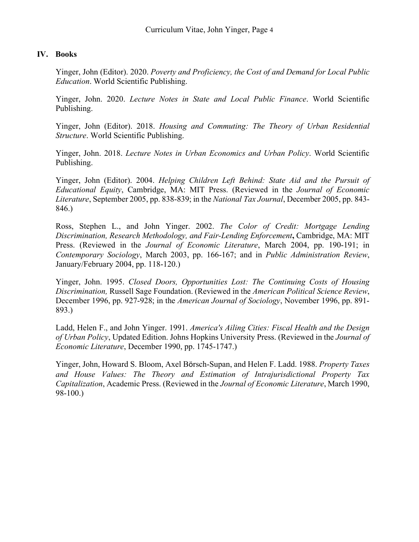#### **IV. Books**

Yinger, John (Editor). 2020. *Poverty and Proficiency, the Cost of and Demand for Local Public Education*. World Scientific Publishing.

Yinger, John. 2020. *Lecture Notes in State and Local Public Finance*. World Scientific Publishing.

Yinger, John (Editor). 2018. *Housing and Commuting: The Theory of Urban Residential Structure*. World Scientific Publishing.

Yinger, John. 2018. *Lecture Notes in Urban Economics and Urban Policy*. World Scientific Publishing.

Yinger, John (Editor). 2004. *Helping Children Left Behind: State Aid and the Pursuit of Educational Equity*, Cambridge, MA: MIT Press. (Reviewed in the *Journal of Economic Literature*, September 2005, pp. 838-839; in the *National Tax Journal*, December 2005, pp. 843- 846.)

Ross, Stephen L., and John Yinger. 2002. *The Color of Credit: Mortgage Lending Discrimination, Research Methodology, and Fair-Lending Enforcement***,** Cambridge, MA: MIT Press. (Reviewed in the *Journal of Economic Literature*, March 2004, pp. 190-191; in *Contemporary Sociology*, March 2003, pp. 166-167; and in *Public Administration Review*, January/February 2004, pp. 118-120.)

Yinger, John. 1995. *Closed Doors, Opportunities Lost: The Continuing Costs of Housing Discrimination,* Russell Sage Foundation. (Reviewed in the *American Political Science Review*, December 1996, pp. 927-928; in the *American Journal of Sociology*, November 1996, pp. 891- 893.)

Ladd, Helen F., and John Yinger. 1991. *America's Ailing Cities: Fiscal Health and the Design of Urban Policy*, Updated Edition. Johns Hopkins University Press. (Reviewed in the *Journal of Economic Literature*, December 1990, pp. 1745-1747.)

Yinger, John, Howard S. Bloom, Axel Börsch-Supan, and Helen F. Ladd. 1988. *Property Taxes and House Values: The Theory and Estimation of Intrajurisdictional Property Tax Capitalization*, Academic Press. (Reviewed in the *Journal of Economic Literature*, March 1990, 98-100.)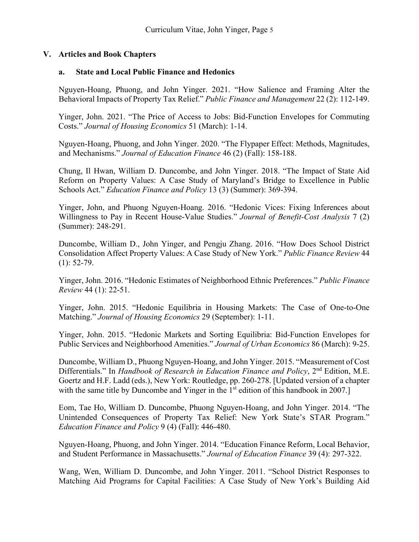# **V. Articles and Book Chapters**

#### **a. State and Local Public Finance and Hedonics**

Nguyen-Hoang, Phuong, and John Yinger. 2021. "How Salience and Framing Alter the Behavioral Impacts of Property Tax Relief." *Public Finance and Management* 22 (2): 112-149.

Yinger, John. 2021. "The Price of Access to Jobs: Bid-Function Envelopes for Commuting Costs." *Journal of Housing Economics* 51 (March): 1-14.

Nguyen-Hoang, Phuong, and John Yinger. 2020. "The Flypaper Effect: Methods, Magnitudes, and Mechanisms." *Journal of Education Finance* 46 (2) (Fall): 158-188.

Chung, Il Hwan, William D. Duncombe, and John Yinger. 2018. "The Impact of State Aid Reform on Property Values: A Case Study of Maryland's Bridge to Excellence in Public Schools Act." *Education Finance and Policy* 13 (3) (Summer): 369-394.

Yinger, John, and Phuong Nguyen-Hoang. 2016. "Hedonic Vices: Fixing Inferences about Willingness to Pay in Recent House-Value Studies." *Journal of Benefit-Cost Analysis* 7 (2) (Summer): 248-291.

Duncombe, William D., John Yinger, and Pengju Zhang. 2016. "How Does School District Consolidation Affect Property Values: A Case Study of New York." *Public Finance Review* 44  $(1): 52-79.$ 

Yinger, John. 2016. "Hedonic Estimates of Neighborhood Ethnic Preferences." *Public Finance Review* 44 (1): 22-51.

Yinger, John. 2015. "Hedonic Equilibria in Housing Markets: The Case of One-to-One Matching." *Journal of Housing Economics* 29 (September): 1-11.

Yinger, John. 2015. "Hedonic Markets and Sorting Equilibria: Bid-Function Envelopes for Public Services and Neighborhood Amenities." *Journal of Urban Economics* 86 (March): 9-25.

Duncombe, William D., Phuong Nguyen-Hoang, and John Yinger. 2015. "Measurement of Cost Differentials." In *Handbook of Research in Education Finance and Policy*, 2<sup>nd</sup> Edition, M.E. Goertz and H.F. Ladd (eds.), New York: Routledge, pp. 260-278. [Updated version of a chapter with the same title by Duncombe and Yinger in the  $1<sup>st</sup>$  edition of this handbook in 2007.]

Eom, Tae Ho, William D. Duncombe, Phuong Nguyen-Hoang, and John Yinger. 2014. "The Unintended Consequences of Property Tax Relief: New York State's STAR Program." *Education Finance and Policy* 9 (4) (Fall): 446-480.

Nguyen-Hoang, Phuong, and John Yinger. 2014. "Education Finance Reform, Local Behavior, and Student Performance in Massachusetts." *Journal of Education Finance* 39 (4): 297-322.

Wang, Wen, William D. Duncombe, and John Yinger. 2011. "School District Responses to Matching Aid Programs for Capital Facilities: A Case Study of New York's Building Aid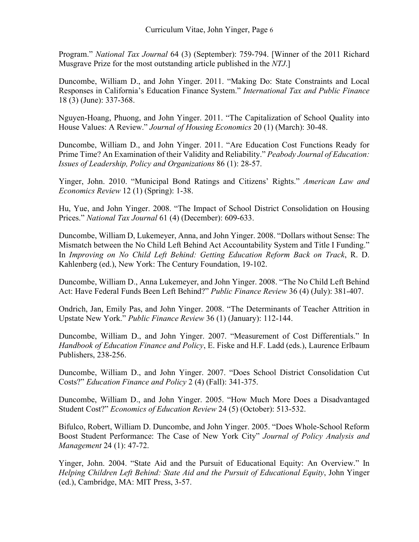Program." *National Tax Journal* 64 (3) (September): 759-794. [Winner of the 2011 Richard Musgrave Prize for the most outstanding article published in the *NTJ*.]

Duncombe, William D., and John Yinger. 2011. "Making Do: State Constraints and Local Responses in California's Education Finance System." *International Tax and Public Finance* 18 (3) (June): 337-368.

Nguyen-Hoang, Phuong, and John Yinger. 2011. "The Capitalization of School Quality into House Values: A Review." *Journal of Housing Economics* 20 (1) (March): 30-48.

Duncombe, William D., and John Yinger. 2011. "Are Education Cost Functions Ready for Prime Time? An Examination of their Validity and Reliability." *Peabody Journal of Education: Issues of Leadership, Policy and Organizations* 86 (1): 28-57.

Yinger, John. 2010. "Municipal Bond Ratings and Citizens' Rights." *American Law and Economics Review* 12 (1) (Spring): 1-38.

Hu, Yue, and John Yinger. 2008. "The Impact of School District Consolidation on Housing Prices." *National Tax Journal* 61 (4) (December): 609-633.

Duncombe, William D, Lukemeyer, Anna, and John Yinger. 2008. "Dollars without Sense: The Mismatch between the No Child Left Behind Act Accountability System and Title I Funding." In *Improving on No Child Left Behind: Getting Education Reform Back on Track*, R. D. Kahlenberg (ed.), New York: The Century Foundation, 19-102.

Duncombe, William D., Anna Lukemeyer, and John Yinger. 2008. "The No Child Left Behind Act: Have Federal Funds Been Left Behind?" *Public Finance Review* 36 (4) (July): 381-407.

Ondrich, Jan, Emily Pas, and John Yinger. 2008. "The Determinants of Teacher Attrition in Upstate New York." *Public Finance Review* 36 (1) (January): 112-144.

Duncombe, William D., and John Yinger. 2007. "Measurement of Cost Differentials." In *Handbook of Education Finance and Policy*, E. Fiske and H.F. Ladd (eds.), Laurence Erlbaum Publishers, 238-256.

Duncombe, William D., and John Yinger. 2007. "Does School District Consolidation Cut Costs?" *Education Finance and Policy* 2 (4) (Fall): 341-375.

Duncombe, William D., and John Yinger. 2005. "How Much More Does a Disadvantaged Student Cost?" *Economics of Education Review* 24 (5) (October): 513-532.

Bifulco, Robert, William D. Duncombe, and John Yinger. 2005. "Does Whole-School Reform Boost Student Performance: The Case of New York City" *Journal of Policy Analysis and Management* 24 (1): 47-72.

Yinger, John. 2004. "State Aid and the Pursuit of Educational Equity: An Overview." In *Helping Children Left Behind: State Aid and the Pursuit of Educational Equity*, John Yinger (ed.), Cambridge, MA: MIT Press, 3-57.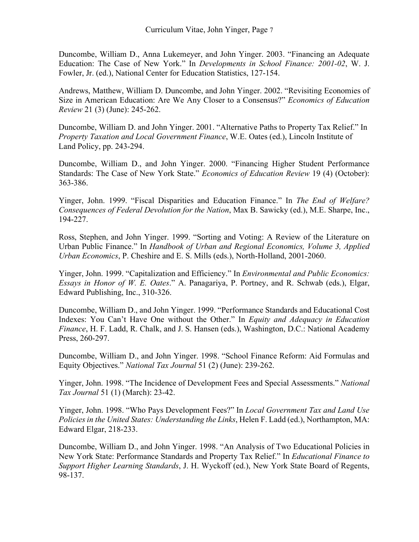Duncombe, William D., Anna Lukemeyer, and John Yinger. 2003. "Financing an Adequate Education: The Case of New York." In *Developments in School Finance: 2001-02*, W. J. Fowler, Jr. (ed.), National Center for Education Statistics, 127-154.

Andrews, Matthew, William D. Duncombe, and John Yinger. 2002. "Revisiting Economies of Size in American Education: Are We Any Closer to a Consensus?" *Economics of Education Review* 21 (3) (June): 245-262.

Duncombe, William D. and John Yinger. 2001. "Alternative Paths to Property Tax Relief." In *Property Taxation and Local Government Finance*, W.E. Oates (ed.), Lincoln Institute of Land Policy, pp. 243-294.

Duncombe, William D., and John Yinger. 2000. "Financing Higher Student Performance Standards: The Case of New York State." *Economics of Education Review* 19 (4) (October): 363-386.

Yinger, John. 1999. "Fiscal Disparities and Education Finance." In *The End of Welfare? Consequences of Federal Devolution for the Nation*, Max B. Sawicky (ed.), M.E. Sharpe, Inc., 194-227.

Ross, Stephen, and John Yinger. 1999. "Sorting and Voting: A Review of the Literature on Urban Public Finance." In *Handbook of Urban and Regional Economics, Volume 3, Applied Urban Economics*, P. Cheshire and E. S. Mills (eds.), North-Holland, 2001-2060.

Yinger, John. 1999. "Capitalization and Efficiency." In *Environmental and Public Economics: Essays in Honor of W. E. Oates*." A. Panagariya, P. Portney, and R. Schwab (eds.), Elgar, Edward Publishing, Inc., 310-326.

Duncombe, William D., and John Yinger. 1999. "Performance Standards and Educational Cost Indexes: You Can't Have One without the Other." In *Equity and Adequacy in Education Finance*, H. F. Ladd, R. Chalk, and J. S. Hansen (eds.), Washington, D.C.: National Academy Press, 260-297.

Duncombe, William D., and John Yinger. 1998. "School Finance Reform: Aid Formulas and Equity Objectives." *National Tax Journal* 51 (2) (June): 239-262.

Yinger, John. 1998. "The Incidence of Development Fees and Special Assessments." *National Tax Journal* 51 (1) (March): 23-42.

Yinger, John. 1998. "Who Pays Development Fees?" In *Local Government Tax and Land Use Policies in the United States: Understanding the Links*, Helen F. Ladd (ed.), Northampton, MA: Edward Elgar, 218-233.

Duncombe, William D., and John Yinger. 1998. "An Analysis of Two Educational Policies in New York State: Performance Standards and Property Tax Relief." In *Educational Finance to Support Higher Learning Standards*, J. H. Wyckoff (ed.), New York State Board of Regents, 98-137.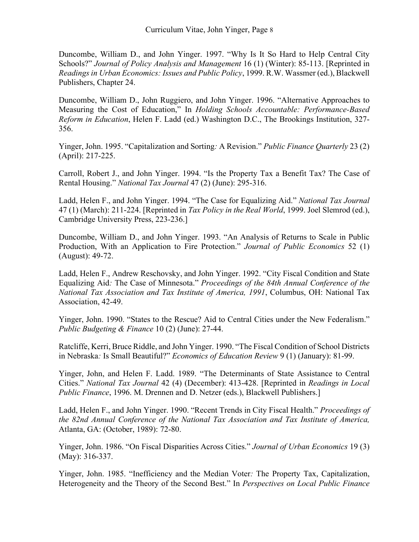Duncombe, William D., and John Yinger. 1997. "Why Is It So Hard to Help Central City Schools?" *Journal of Policy Analysis and Management* 16 (1) (Winter): 85-113. [Reprinted in *Readings in Urban Economics: Issues and Public Policy*, 1999. R.W. Wassmer (ed.), Blackwell Publishers, Chapter 24.

Duncombe, William D., John Ruggiero, and John Yinger. 1996. "Alternative Approaches to Measuring the Cost of Education," In *Holding Schools Accountable: Performance-Based Reform in Education*, Helen F. Ladd (ed.) Washington D.C., The Brookings Institution, 327- 356.

Yinger, John. 1995. "Capitalization and Sorting*:* A Revision." *Public Finance Quarterly* 23 (2) (April): 217-225.

Carroll, Robert J., and John Yinger. 1994. "Is the Property Tax a Benefit Tax? The Case of Rental Housing." *National Tax Journal* 47 (2) (June): 295-316.

Ladd, Helen F., and John Yinger. 1994. "The Case for Equalizing Aid." *National Tax Journal* 47 (1) (March): 211-224. [Reprinted in *Tax Policy in the Real World*, 1999. Joel Slemrod (ed.), Cambridge University Press, 223-236.]

Duncombe, William D., and John Yinger. 1993. "An Analysis of Returns to Scale in Public Production, With an Application to Fire Protection." *Journal of Public Economics* 52 (1) (August): 49-72.

Ladd, Helen F., Andrew Reschovsky, and John Yinger. 1992. "City Fiscal Condition and State Equalizing Aid*:* The Case of Minnesota." *Proceedings of the 84th Annual Conference of the National Tax Association and Tax Institute of America, 1991*, Columbus, OH: National Tax Association, 42-49.

Yinger, John. 1990. "States to the Rescue? Aid to Central Cities under the New Federalism." *Public Budgeting & Finance* 10 (2) (June): 27-44.

Ratcliffe, Kerri, Bruce Riddle, and John Yinger. 1990. "The Fiscal Condition of School Districts in Nebraska*:* Is Small Beautiful?" *Economics of Education Review* 9 (1) (January): 81-99.

Yinger, John, and Helen F. Ladd. 1989. "The Determinants of State Assistance to Central Cities." *National Tax Journal* 42 (4) (December): 413-428. [Reprinted in *Readings in Local Public Finance*, 1996. M. Drennen and D. Netzer (eds.), Blackwell Publishers.]

Ladd, Helen F., and John Yinger. 1990. "Recent Trends in City Fiscal Health." *Proceedings of the 82nd Annual Conference of the National Tax Association and Tax Institute of America,*  Atlanta, GA: (October, 1989): 72-80.

Yinger, John. 1986. "On Fiscal Disparities Across Cities." *Journal of Urban Economics* 19 (3) (May): 316-337.

Yinger, John. 1985. "Inefficiency and the Median Voter*:* The Property Tax, Capitalization, Heterogeneity and the Theory of the Second Best." In *Perspectives on Local Public Finance*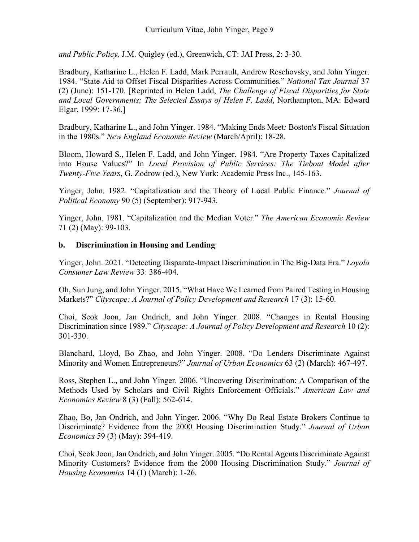*and Public Policy,* J.M. Quigley (ed.), Greenwich, CT: JAI Press, 2: 3-30.

Bradbury, Katharine L., Helen F. Ladd, Mark Perrault, Andrew Reschovsky, and John Yinger. 1984. "State Aid to Offset Fiscal Disparities Across Communities." *National Tax Journal* 37 (2) (June): 151-170. [Reprinted in Helen Ladd, *The Challenge of Fiscal Disparities for State and Local Governments; The Selected Essays of Helen F. Ladd*, Northampton, MA: Edward Elgar, 1999: 17-36.]

Bradbury, Katharine L., and John Yinger. 1984. "Making Ends Meet*:* Boston's Fiscal Situation in the 1980s." *New England Economic Review* (March/April): 18-28.

Bloom, Howard S., Helen F. Ladd, and John Yinger. 1984. "Are Property Taxes Capitalized into House Values?" In *Local Provision of Public Services: The Tiebout Model after Twenty-Five Years*, G. Zodrow (ed.), New York: Academic Press Inc., 145-163.

Yinger, John. 1982. "Capitalization and the Theory of Local Public Finance." *Journal of Political Economy* 90 (5) (September): 917-943.

Yinger, John. 1981. "Capitalization and the Median Voter." *The American Economic Review* 71 (2) (May): 99-103.

# **b. Discrimination in Housing and Lending**

Yinger, John. 2021. "Detecting Disparate-Impact Discrimination in The Big-Data Era." *Loyola Consumer Law Review* 33: 386-404.

Oh, Sun Jung, and John Yinger. 2015. "What Have We Learned from Paired Testing in Housing Markets?" *Cityscape: A Journal of Policy Development and Research* 17 (3): 15-60.

Choi, Seok Joon, Jan Ondrich, and John Yinger. 2008. "Changes in Rental Housing Discrimination since 1989." *Cityscape: A Journal of Policy Development and Research* 10 (2): 301-330.

Blanchard, Lloyd, Bo Zhao, and John Yinger. 2008. "Do Lenders Discriminate Against Minority and Women Entrepreneurs?" *Journal of Urban Economics* 63 (2) (March): 467-497.

Ross, Stephen L., and John Yinger. 2006. "Uncovering Discrimination: A Comparison of the Methods Used by Scholars and Civil Rights Enforcement Officials." *American Law and Economics Review* 8 (3) (Fall): 562-614.

Zhao, Bo, Jan Ondrich, and John Yinger. 2006. "Why Do Real Estate Brokers Continue to Discriminate? Evidence from the 2000 Housing Discrimination Study." *Journal of Urban Economics* 59 (3) (May): 394-419.

Choi, Seok Joon, Jan Ondrich, and John Yinger. 2005. "Do Rental Agents Discriminate Against Minority Customers? Evidence from the 2000 Housing Discrimination Study." *Journal of Housing Economics* 14 (1) (March): 1-26.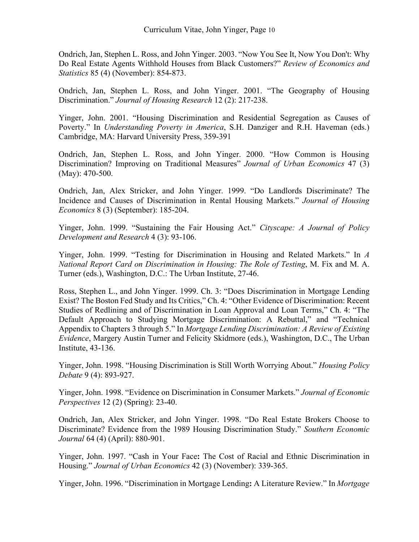Ondrich, Jan, Stephen L. Ross, and John Yinger. 2003. "Now You See It, Now You Don't: Why Do Real Estate Agents Withhold Houses from Black Customers?" *Review of Economics and Statistics* 85 (4) (November): 854-873.

Ondrich, Jan, Stephen L. Ross, and John Yinger. 2001. "The Geography of Housing Discrimination." *Journal of Housing Research* 12 (2): 217-238.

Yinger, John. 2001. "Housing Discrimination and Residential Segregation as Causes of Poverty." In *Understanding Poverty in America*, S.H. Danziger and R.H. Haveman (eds.) Cambridge, MA: Harvard University Press, 359-391

Ondrich, Jan, Stephen L. Ross, and John Yinger. 2000. "How Common is Housing Discrimination? Improving on Traditional Measures" *Journal of Urban Economics* 47 (3) (May): 470-500.

Ondrich, Jan, Alex Stricker, and John Yinger. 1999. "Do Landlords Discriminate? The Incidence and Causes of Discrimination in Rental Housing Markets." *Journal of Housing Economics* 8 (3) (September): 185-204.

Yinger, John. 1999. "Sustaining the Fair Housing Act." *Cityscape: A Journal of Policy Development and Research* 4 (3): 93-106.

Yinger, John. 1999. "Testing for Discrimination in Housing and Related Markets." In *A National Report Card on Discrimination in Housing: The Role of Testing*, M. Fix and M. A. Turner (eds.), Washington, D.C.: The Urban Institute, 27-46.

Ross, Stephen L., and John Yinger. 1999. Ch. 3: "Does Discrimination in Mortgage Lending Exist? The Boston Fed Study and Its Critics," Ch. 4: "Other Evidence of Discrimination: Recent Studies of Redlining and of Discrimination in Loan Approval and Loan Terms," Ch. 4: "The Default Approach to Studying Mortgage Discrimination: A Rebuttal," and "Technical Appendix to Chapters 3 through 5." In *Mortgage Lending Discrimination: A Review of Existing Evidence*, Margery Austin Turner and Felicity Skidmore (eds.), Washington, D.C., The Urban Institute, 43-136.

Yinger, John. 1998. "Housing Discrimination is Still Worth Worrying About." *Housing Policy Debate* 9 (4): 893-927.

Yinger, John. 1998. "Evidence on Discrimination in Consumer Markets." *Journal of Economic Perspectives* 12 (2) (Spring): 23-40.

Ondrich, Jan, Alex Stricker, and John Yinger. 1998. "Do Real Estate Brokers Choose to Discriminate? Evidence from the 1989 Housing Discrimination Study." *Southern Economic Journal* 64 (4) (April): 880-901.

Yinger, John. 1997. "Cash in Your Face**:** The Cost of Racial and Ethnic Discrimination in Housing." *Journal of Urban Economics* 42 (3) (November): 339-365.

Yinger, John. 1996. "Discrimination in Mortgage Lending**:** A Literature Review." In *Mortgage*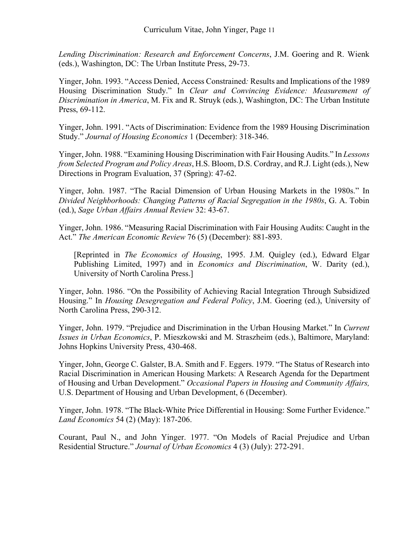*Lending Discrimination: Research and Enforcement Concerns*, J.M. Goering and R. Wienk (eds.), Washington, DC: The Urban Institute Press, 29-73.

Yinger, John. 1993. "Access Denied, Access Constrained*:* Results and Implications of the 1989 Housing Discrimination Study." In *Clear and Convincing Evidence: Measurement of Discrimination in America*, M. Fix and R. Struyk (eds.), Washington, DC: The Urban Institute Press, 69-112.

Yinger, John. 1991. "Acts of Discrimination: Evidence from the 1989 Housing Discrimination Study." *Journal of Housing Economics* 1 (December): 318-346.

Yinger, John. 1988. "Examining Housing Discrimination with Fair Housing Audits." In *Lessons from Selected Program and Policy Areas*, H.S. Bloom, D.S. Cordray, and R.J. Light (eds.), New Directions in Program Evaluation, 37 (Spring): 47-62.

Yinger, John. 1987. "The Racial Dimension of Urban Housing Markets in the 1980s." In *Divided Neighborhoods: Changing Patterns of Racial Segregation in the 1980s*, G. A. Tobin (ed.), *Sage Urban Affairs Annual Review* 32: 43-67.

Yinger, John. 1986. "Measuring Racial Discrimination with Fair Housing Audits: Caught in the Act." *The American Economic Review* 76 (5) (December): 881-893.

[Reprinted in *The Economics of Housing*, 1995. J.M. Quigley (ed.), Edward Elgar Publishing Limited, 1997) and in *Economics and Discrimination*, W. Darity (ed.), University of North Carolina Press.]

Yinger, John. 1986. "On the Possibility of Achieving Racial Integration Through Subsidized Housing." In *Housing Desegregation and Federal Policy*, J.M. Goering (ed.), University of North Carolina Press, 290-312.

Yinger, John. 1979. "Prejudice and Discrimination in the Urban Housing Market." In *Current Issues in Urban Economics*, P. Mieszkowski and M. Straszheim (eds.), Baltimore, Maryland: Johns Hopkins University Press, 430-468.

Yinger, John, George C. Galster, B.A. Smith and F. Eggers. 1979. "The Status of Research into Racial Discrimination in American Housing Markets: A Research Agenda for the Department of Housing and Urban Development." *Occasional Papers in Housing and Community Affairs,* U.S. Department of Housing and Urban Development, 6 (December).

Yinger, John. 1978. "The Black-White Price Differential in Housing: Some Further Evidence." *Land Economics* 54 (2) (May): 187-206.

Courant, Paul N., and John Yinger. 1977. "On Models of Racial Prejudice and Urban Residential Structure." *Journal of Urban Economics* 4 (3) (July): 272-291.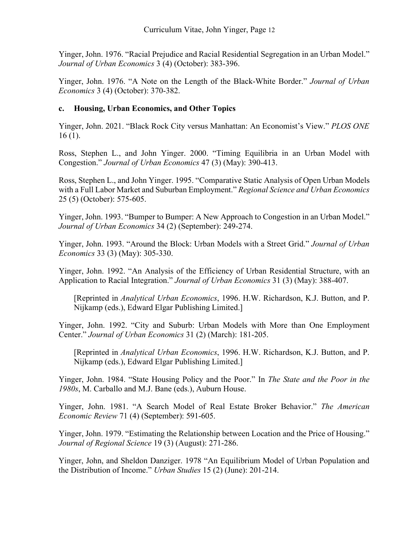Yinger, John. 1976. "Racial Prejudice and Racial Residential Segregation in an Urban Model." *Journal of Urban Economics* 3 (4) (October): 383-396.

Yinger, John. 1976. "A Note on the Length of the Black-White Border." *Journal of Urban Economics* 3 (4) (October): 370-382.

# **c. Housing, Urban Economics, and Other Topics**

Yinger, John. 2021. "Black Rock City versus Manhattan: An Economist's View." *PLOS ONE* 16 (1).

Ross, Stephen L., and John Yinger. 2000. "Timing Equilibria in an Urban Model with Congestion." *Journal of Urban Economics* 47 (3) (May): 390-413.

Ross, Stephen L., and John Yinger. 1995. "Comparative Static Analysis of Open Urban Models with a Full Labor Market and Suburban Employment." *Regional Science and Urban Economics* 25 (5) (October): 575-605.

Yinger, John. 1993. "Bumper to Bumper: A New Approach to Congestion in an Urban Model." *Journal of Urban Economics* 34 (2) (September): 249-274.

Yinger, John. 1993. "Around the Block: Urban Models with a Street Grid." *Journal of Urban Economics* 33 (3) (May): 305-330.

Yinger, John. 1992. "An Analysis of the Efficiency of Urban Residential Structure, with an Application to Racial Integration." *Journal of Urban Economics* 31 (3) (May): 388-407.

[Reprinted in *Analytical Urban Economics*, 1996. H.W. Richardson, K.J. Button, and P. Nijkamp (eds.), Edward Elgar Publishing Limited.]

Yinger, John. 1992. "City and Suburb: Urban Models with More than One Employment Center." *Journal of Urban Economics* 31 (2) (March): 181-205.

[Reprinted in *Analytical Urban Economics*, 1996. H.W. Richardson, K.J. Button, and P. Nijkamp (eds.), Edward Elgar Publishing Limited.]

Yinger, John. 1984. "State Housing Policy and the Poor." In *The State and the Poor in the 1980s*, M. Carballo and M.J. Bane (eds.), Auburn House.

Yinger, John. 1981. "A Search Model of Real Estate Broker Behavior." *The American Economic Review* 71 (4) (September): 591-605.

Yinger, John. 1979. "Estimating the Relationship between Location and the Price of Housing." *Journal of Regional Science* 19 (3) (August): 271-286.

Yinger, John, and Sheldon Danziger. 1978 "An Equilibrium Model of Urban Population and the Distribution of Income." *Urban Studies* 15 (2) (June): 201-214.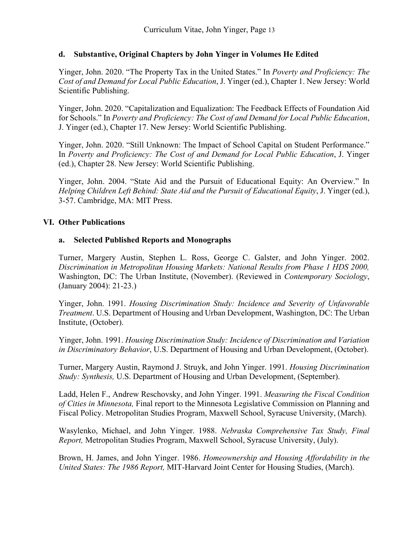# **d. Substantive, Original Chapters by John Yinger in Volumes He Edited**

Yinger, John. 2020. "The Property Tax in the United States." In *Poverty and Proficiency: The Cost of and Demand for Local Public Education*, J. Yinger (ed.), Chapter 1. New Jersey: World Scientific Publishing.

Yinger, John. 2020. "Capitalization and Equalization: The Feedback Effects of Foundation Aid for Schools." In *Poverty and Proficiency: The Cost of and Demand for Local Public Education*, J. Yinger (ed.), Chapter 17. New Jersey: World Scientific Publishing.

Yinger, John. 2020. "Still Unknown: The Impact of School Capital on Student Performance." In *Poverty and Proficiency: The Cost of and Demand for Local Public Education*, J. Yinger (ed.), Chapter 28. New Jersey: World Scientific Publishing.

Yinger, John. 2004. "State Aid and the Pursuit of Educational Equity: An Overview." In *Helping Children Left Behind: State Aid and the Pursuit of Educational Equity*, J. Yinger (ed.), 3-57. Cambridge, MA: MIT Press.

# **VI. Other Publications**

# **a. Selected Published Reports and Monographs**

Turner, Margery Austin, Stephen L. Ross, George C. Galster, and John Yinger. 2002. *Discrimination in Metropolitan Housing Markets: National Results from Phase 1 HDS 2000,*  Washington, DC: The Urban Institute, (November). (Reviewed in *Contemporary Sociology*, (January 2004): 21-23.)

Yinger, John. 1991. *Housing Discrimination Study: Incidence and Severity of Unfavorable Treatment*. U.S. Department of Housing and Urban Development, Washington, DC: The Urban Institute, (October).

Yinger, John. 1991. *Housing Discrimination Study: Incidence of Discrimination and Variation in Discriminatory Behavior*, U.S. Department of Housing and Urban Development, (October).

Turner, Margery Austin, Raymond J. Struyk, and John Yinger. 1991. *Housing Discrimination Study: Synthesis,* U.S. Department of Housing and Urban Development, (September).

Ladd, Helen F., Andrew Reschovsky, and John Yinger. 1991. *Measuring the Fiscal Condition of Cities in Minnesota,* Final report to the Minnesota Legislative Commission on Planning and Fiscal Policy. Metropolitan Studies Program, Maxwell School, Syracuse University, (March).

Wasylenko, Michael, and John Yinger. 1988. *Nebraska Comprehensive Tax Study, Final Report,* Metropolitan Studies Program, Maxwell School, Syracuse University, (July).

Brown, H. James, and John Yinger. 1986. *Homeownership and Housing Affordability in the United States: The 1986 Report,* MIT-Harvard Joint Center for Housing Studies, (March).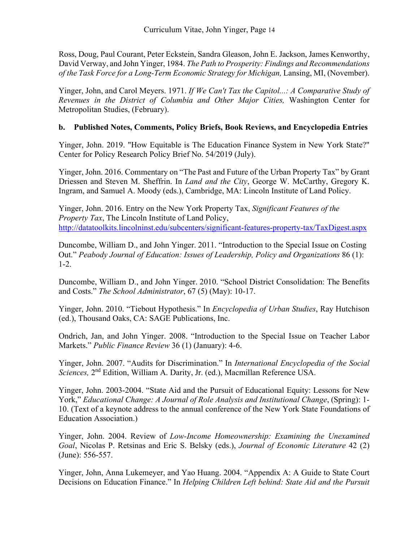Ross, Doug, Paul Courant, Peter Eckstein, Sandra Gleason, John E. Jackson, James Kenworthy, David Verway, and John Yinger, 1984. *The Path to Prosperity: Findings and Recommendations of the Task Force for a Long-Term Economic Strategy for Michigan,* Lansing, MI, (November).

Yinger, John, and Carol Meyers. 1971. *If We Can't Tax the Capitol...: A Comparative Study of Revenues in the District of Columbia and Other Major Cities,* Washington Center for Metropolitan Studies, (February).

# **b. Published Notes, Comments, Policy Briefs, Book Reviews, and Encyclopedia Entries**

Yinger, John. 2019. "How Equitable is The Education Finance System in New York State?" Center for Policy Research Policy Brief No. 54/2019 (July).

Yinger, John. 2016. Commentary on "The Past and Future of the Urban Property Tax" by Grant Driessen and Steven M. Sheffrin. In *Land and the City*, George W. McCarthy, Gregory K. Ingram, and Samuel A. Moody (eds.), Cambridge, MA: Lincoln Institute of Land Policy.

Yinger, John. 2016. Entry on the New York Property Tax, *Significant Features of the Property Tax*, The Lincoln Institute of Land Policy, <http://datatoolkits.lincolninst.edu/subcenters/significant-features-property-tax/TaxDigest.aspx>

Duncombe, William D., and John Yinger. 2011. "Introduction to the Special Issue on Costing Out." *Peabody Journal of Education: Issues of Leadership, Policy and Organizations* 86 (1): 1-2.

Duncombe, William D., and John Yinger. 2010. "School District Consolidation: The Benefits and Costs." *The School Administrator*, 67 (5) (May): 10-17.

Yinger, John. 2010. "Tiebout Hypothesis." In *Encyclopedia of Urban Studies*, Ray Hutchison (ed.), Thousand Oaks, CA: SAGE Publications, Inc.

Ondrich, Jan, and John Yinger. 2008. "Introduction to the Special Issue on Teacher Labor Markets." *Public Finance Review* 36 (1) (January): 4-6.

Yinger, John. 2007. "Audits for Discrimination." In *International Encyclopedia of the Social Sciences,* 2nd Edition, William A. Darity, Jr. (ed.), Macmillan Reference USA.

Yinger, John. 2003-2004. "State Aid and the Pursuit of Educational Equity: Lessons for New York," *Educational Change: A Journal of Role Analysis and Institutional Change*, (Spring): 1- 10. (Text of a keynote address to the annual conference of the New York State Foundations of Education Association.)

Yinger, John. 2004. Review of *Low-Income Homeownership: Examining the Unexamined Goal*, Nicolas P. Retsinas and Eric S. Belsky (eds.), *Journal of Economic Literature* 42 (2) (June): 556-557.

Yinger, John, Anna Lukemeyer, and Yao Huang. 2004. "Appendix A: A Guide to State Court Decisions on Education Finance." In *Helping Children Left behind: State Aid and the Pursuit*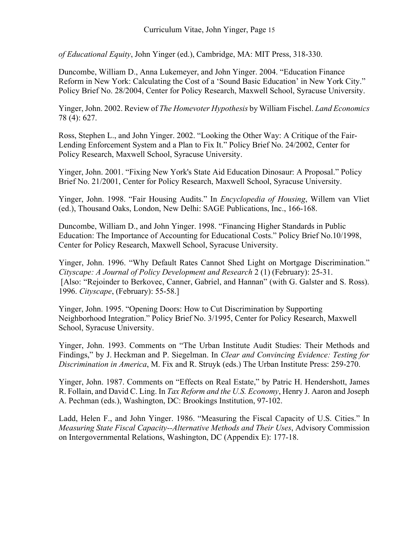*of Educational Equity*, John Yinger (ed.), Cambridge, MA: MIT Press, 318-330.

Duncombe, William D., Anna Lukemeyer, and John Yinger. 2004. "Education Finance Reform in New York: Calculating the Cost of a 'Sound Basic Education' in New York City." Policy Brief No. 28/2004, Center for Policy Research, Maxwell School, Syracuse University.

Yinger, John. 2002. Review of *The Homevoter Hypothesis* by William Fischel. *Land Economics* 78 (4): 627.

Ross, Stephen L., and John Yinger. 2002. "Looking the Other Way: A Critique of the Fair-Lending Enforcement System and a Plan to Fix It." Policy Brief No. 24/2002, Center for Policy Research, Maxwell School, Syracuse University.

Yinger, John. 2001. "Fixing New York's State Aid Education Dinosaur: A Proposal." Policy Brief No. 21/2001, Center for Policy Research, Maxwell School, Syracuse University.

Yinger, John. 1998. "Fair Housing Audits." In *Encyclopedia of Housing*, Willem van Vliet (ed.), Thousand Oaks, London, New Delhi: SAGE Publications, Inc., 166-168.

Duncombe, William D., and John Yinger. 1998. "Financing Higher Standards in Public Education: The Importance of Accounting for Educational Costs." Policy Brief No.10/1998, Center for Policy Research, Maxwell School, Syracuse University.

Yinger, John. 1996. "Why Default Rates Cannot Shed Light on Mortgage Discrimination." *Cityscape: A Journal of Policy Development and Research* 2 (1) (February): 25-31. [Also: "Rejoinder to Berkovec, Canner, Gabriel, and Hannan" (with G. Galster and S. Ross). 1996. *Cityscape*, (February): 55-58.]

Yinger, John. 1995. "Opening Doors: How to Cut Discrimination by Supporting Neighborhood Integration." Policy Brief No. 3/1995, Center for Policy Research, Maxwell School, Syracuse University.

Yinger, John. 1993. Comments on "The Urban Institute Audit Studies: Their Methods and Findings," by J. Heckman and P. Siegelman. In *Clear and Convincing Evidence: Testing for Discrimination in America*, M. Fix and R. Struyk (eds.) The Urban Institute Press: 259-270.

Yinger, John. 1987. Comments on "Effects on Real Estate," by Patric H. Hendershott, James R. Follain, and David C. Ling. In *Tax Reform and the U.S. Economy*, Henry J. Aaron and Joseph A. Pechman (eds.), Washington, DC: Brookings Institution, 97-102.

Ladd, Helen F., and John Yinger. 1986. "Measuring the Fiscal Capacity of U.S. Cities." In *Measuring State Fiscal Capacity--Alternative Methods and Their Uses*, Advisory Commission on Intergovernmental Relations, Washington, DC (Appendix E): 177-18.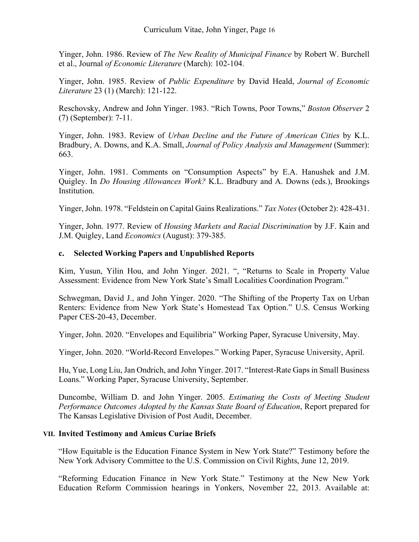Yinger, John. 1986. Review of *The New Reality of Municipal Finance* by Robert W. Burchell et al., Journal *of Economic Literature* (March): 102-104.

Yinger, John. 1985. Review of *Public Expenditure* by David Heald, *Journal of Economic Literature* 23 (1) (March): 121-122.

Reschovsky, Andrew and John Yinger. 1983. "Rich Towns, Poor Towns," *Boston Observer* 2 (7) (September): 7-11.

Yinger, John. 1983. Review of *Urban Decline and the Future of American Cities* by K.L. Bradbury, A. Downs, and K.A. Small, *Journal of Policy Analysis and Management* (Summer): 663.

Yinger, John. 1981. Comments on "Consumption Aspects" by E.A. Hanushek and J.M. Quigley. In *Do Housing Allowances Work?* K.L. Bradbury and A. Downs (eds.), Brookings Institution.

Yinger, John. 1978. "Feldstein on Capital Gains Realizations." *Tax Notes*(October 2): 428-431.

Yinger, John. 1977. Review of *Housing Markets and Racial Discrimination* by J.F. Kain and J.M. Quigley, Land *Economics* (August): 379-385.

# **c. Selected Working Papers and Unpublished Reports**

Kim, Yusun, Yilin Hou, and John Yinger. 2021. ", "Returns to Scale in Property Value Assessment: Evidence from New York State's Small Localities Coordination Program."

Schwegman, David J., and John Yinger. 2020. "The Shifting of the Property Tax on Urban Renters: Evidence from New York State's Homestead Tax Option." U.S. Census Working Paper CES-20-43, December.

Yinger, John. 2020. "Envelopes and Equilibria" Working Paper, Syracuse University, May.

Yinger, John. 2020. "World-Record Envelopes." Working Paper, Syracuse University, April.

Hu, Yue, Long Liu, Jan Ondrich, and John Yinger. 2017. "Interest-Rate Gaps in Small Business Loans." Working Paper, Syracuse University, September.

Duncombe, William D. and John Yinger. 2005. *Estimating the Costs of Meeting Student Performance Outcomes Adopted by the Kansas State Board of Education*, Report prepared for The Kansas Legislative Division of Post Audit, December.

#### **VII. Invited Testimony and Amicus Curiae Briefs**

"How Equitable is the Education Finance System in New York State?" Testimony before the New York Advisory Committee to the U.S. Commission on Civil Rights, June 12, 2019.

"Reforming Education Finance in New York State." Testimony at the New New York Education Reform Commission hearings in Yonkers, November 22, 2013. Available at: